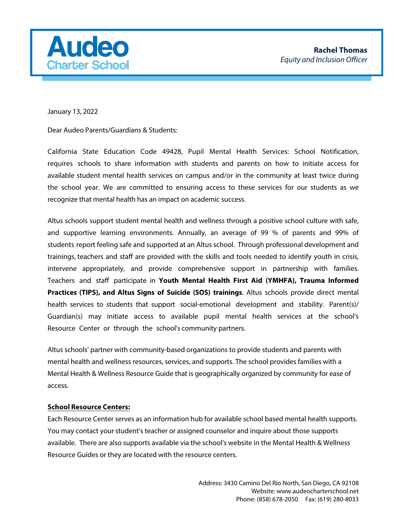

January 13, 2022

Dear Audeo Parents/Guardians & Students:

California State Education Code 49428, Pupil Mental Health Services: School Notification, requires schools to share information with students and parents on how to initiate access for available student mental health services on campus and/or in the community at least twice during the school year. We are committed to ensuring access to these services for our students as we recognize that mental health has an impact on academic success.

Altus schools support student mental health and wellness through a positive school culture with safe, and supportive learning environments. Annually, an average of 99 % of parents and 99% of students report feeling safe and supported at an Altus school. Through professional development and trainings, teachers and staff are provided with the skills and tools needed to identify youth in crisis, intervene appropriately, and provide comprehensive support in partnership with families. Teachers and staff participate in **Youth Mental Health First Aid (YMHFA), Trauma Informed Practices (TIPS), and Altus Signs of Suicide (SOS) trainings**. Altus schools provide direct mental health services to students that support social-emotional development and stability. Parent(s)/ Guardian(s) may initiate access to available pupil mental health services at the school's Resource Center or through the school's community partners.

Altus schools' partner with community-based organizations to provide students and parents with mental health and wellness resources, services, and supports. The school provides families with a Mental Health & Wellness Resource Guide that is geographically organized by community for ease of access.

#### **School Resource Centers:**

Each Resource Center serves as an information hub for available school based mental health supports. You may contact your student's teacher or assigned counselor and inquire about those supports available. There are also supports available via the school's website in the Mental Health & Wellness [Resource Guides or the](https://www.211.org/)y are located with the resource centers.